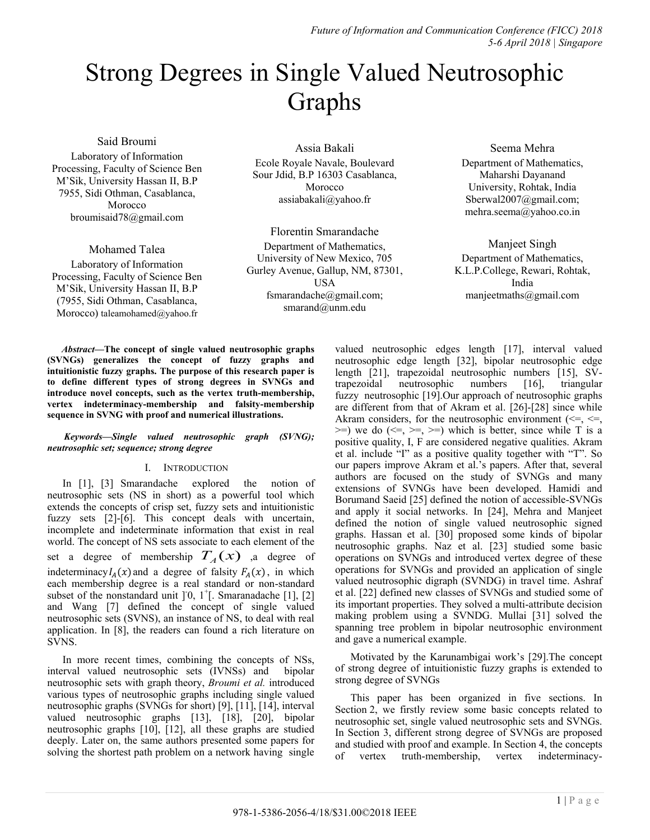*Future of Information and Communication Conference (FICC) 2018 5-6 April 2018 | Singapore*

# Strong Degrees in Single Valued Neutrosophic Graphs

Said Broumi

Laboratory of Information Processing, Faculty of Science Ben M'Sik, University Hassan II, B.P 7955, Sidi Othman, Casablanca, Morocco broumisaid78@gmail.com

Mohamed Talea

Laboratory of Information Processing, Faculty of Science Ben M'Sik, University Hassan II, B.P (7955, Sidi Othman, Casablanca, Morocco) taleamohamed@yahoo.fr

Assia Bakali Ecole Royale Navale, Boulevard Sour Jdid, B.P 16303 Casablanca, Morocco [assiabakali@yahoo.fr](mailto:assiabakali@yahoo.fr)

Florentin Smarandache Department of Mathematics, University of New Mexico, 705 Gurley Avenue, Gallup, NM, 87301, **USA** fsmarandache@gmail.com; smarand@unm.edu

Seema Mehra Department of Mathematics, Maharshi Dayanand University, Rohtak, India Sberwal2007@gmail.com; mehra.seema@yahoo.co.in

Manjeet Singh Department of Mathematics, K.L.P.College, Rewari, Rohtak, India manjeetmaths@gmail.com

*Abstract***—The concept of single valued neutrosophic graphs (SVNGs) generalizes the concept of fuzzy graphs and intuitionistic fuzzy graphs. The purpose of this research paper is to define different types of strong degrees in SVNGs and introduce novel concepts, such as the vertex truth-membership, vertex indeterminacy-membership and falsity-membership sequence in SVNG with proof and numerical illustrations.**

# *Keywords—Single valued neutrosophic graph (SVNG); neutrosophic set; sequence; strong degree*

# I. INTRODUCTION

In [1], [3] Smarandache explored the notion of neutrosophic sets (NS in short) as a powerful tool which extends the concepts of crisp set, fuzzy sets and intuitionistic fuzzy sets [2]-[6]. This concept deals with uncertain, incomplete and indeterminate information that exist in real world. The concept of NS sets associate to each element of the set a degree of membership  $T_A(x)$  , a degree of indeterminacy  $I_A(x)$  and a degree of falsity  $F_A(x)$ , in which each membership degree is a real standard or non-standard subset of the nonstandard unit  $\left[0, 1^+\right]$ . Smaranadache  $\left[1\right]$ ,  $\left[2\right]$ and Wang [7] defined the concept of single valued neutrosophic sets (SVNS), an instance of NS, to deal with real application. In [8], the readers can found a rich literature on SVNS.

In more recent times, combining the concepts of NSs, interval valued neutrosophic sets (IVNSs) and bipolar neutrosophic sets with graph theory, *Broumi et al.* introduced various types of neutrosophic graphs including single valued neutrosophic graphs (SVNGs for short) [9], [11], [14], interval valued neutrosophic graphs [13], [18], [20], bipolar neutrosophic graphs [10], [12], all these graphs are studied deeply. Later on, the same authors presented some papers for solving the shortest path problem on a network having single valued neutrosophic edges length [17], interval valued neutrosophic edge length [32], bipolar neutrosophic edge length [21], trapezoidal neutrosophic numbers [15], SVtrapezoidal neutrosophic numbers [16], triangular fuzzy neutrosophic [19].Our approach of neutrosophic graphs are different from that of Akram et al. [26]-[28] since while Akram considers, for the neutrosophic environment  $\ll =, \ll =,$  $\ge$ =) we do ( $\le$ =,  $\ge$ =) which is better, since while T is a positive quality, I, F are considered negative qualities. Akram et al. include "I" as a positive quality together with "T". So our papers improve Akram et al.'s papers. After that, several authors are focused on the study of SVNGs and many extensions of SVNGs have been developed. Hamidi and Borumand Saeid [25] defined the notion of accessible-SVNGs and apply it social networks. In [24], Mehra and Manjeet defined the notion of single valued neutrosophic signed graphs. Hassan et al. [30] proposed some kinds of bipolar neutrosophic graphs. Naz et al. [23] studied some basic operations on SVNGs and introduced vertex degree of these operations for SVNGs and provided an application of single valued neutrosophic digraph (SVNDG) in travel time. Ashraf et al. [22] defined new classes of SVNGs and studied some of its important properties. They solved a multi-attribute decision making problem using a SVNDG. Mullai [31] solved the spanning tree problem in bipolar neutrosophic environment and gave a numerical example.

Motivated by the Karunambigai work's [29].The concept of strong degree of intuitionistic fuzzy graphs is extended to strong degree of SVNGs

This paper has been organized in five sections. In Section 2, we firstly review some basic concepts related to neutrosophic set, single valued neutrosophic sets and SVNGs. In Section 3, different strong degree of SVNGs are proposed and studied with proof and example. In Section 4, the concepts of vertex truth-membership, vertex indeterminacy-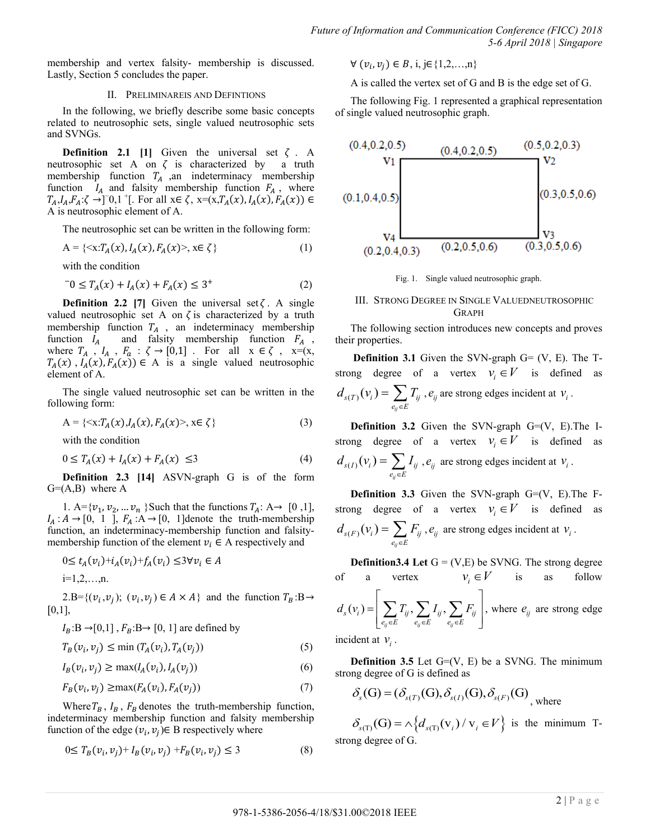membership and vertex falsity- membership is discussed. Lastly, Section 5 concludes the paper.

#### II. PRELIMINAREIS AND DEFINTIONS

In the following, we briefly describe some basic concepts related to neutrosophic sets, single valued neutrosophic sets and SVNGs.

**Definition 2.1** [1] Given the universal set  $\zeta$ . A neutrosophic set A on  $\zeta$  is characterized by a truth membership function  $T_A$  ,an indeterminacy membership function  $I_A$  and falsity membership function  $F_A$ , where  $T_A, I_A, F_A$ ;  $\zeta \to 0, 1^+$ . For all  $x \in \zeta$ ,  $x=(x, T_A(x), I_A(x))$ A is neutrosophic element of A.

The neutrosophic set can be written in the following form:

$$
A = \{ \langle x : T_A(x), I_A(x), F_A(x) \rangle, x \in \zeta \}
$$
 (1)

with the condition

$$
{}^{-}0 \leq T_A(x) + I_A(x) + F_A(x) \leq 3^+ \tag{2}
$$

**Definition 2.2** [7] Given the universal set  $\zeta$ . A single valued neutrosophic set A on  $\zeta$  is characterized by a truth membership function  $T_A$ , an indeterminacy membership function  $I_A$  and falsity membership function  $F_A$ , where  $T_A$ ,  $I_A$ ,  $F_a$ :  $\zeta \rightarrow [0,1]$ . For all  $x \in \zeta$ ,  $x=(x,$  $T_A(x)$ ,  $I_A(x)$ ,  $F_A(x)$ )  $\in$  A is a single valued neutrosophic element of A.

The single valued neutrosophic set can be written in the following form:

$$
A = \{ \langle x: T_A(x), I_A(x), F_A(x) \rangle, x \in \zeta \}
$$
\n
$$
(3)
$$

with the condition

$$
0 \le T_A(x) + I_A(x) + F_A(x) \le 3 \tag{4}
$$

**Definition 2.3 [14]** ASVN-graph G is of the form  $G=(A,B)$  where A

1. A= $\{v_1, v_2, ..., v_n\}$  Such that the functions  $T_A$ : A $\rightarrow$  [0,1],  $I_A: A \rightarrow [0, 1]$ ,  $F_A: A \rightarrow [0, 1]$ denote the truth-membership function, an indeterminacy-membership function and falsitymembership function of the element  $v_i \in A$  respectively and

$$
0 \le t_A(v_i) + i_A(v_i) + f_A(v_i) \le 3 \forall v_i \in A
$$
  
i=1,2,...,n.

2.B={ $(v_i, v_j)$ ;  $(v_i, v_j) \in A \times A$ } and the function  $T_B : B \rightarrow$ 0,1],

$$
I_B
$$
:B  $\rightarrow$ [0,1],  $F_B$ :B $\rightarrow$ [0, 1] are defined by

$$
T_B(v_i, v_j) \le \min(T_A(v_i), T_A(v_j))
$$
\n<sup>(5)</sup>

$$
I_B(v_i, v_j) \ge \max(I_A(v_i), I_A(v_j))
$$
\n<sup>(6)</sup>

$$
F_B(v_i, v_i) \ge \max(F_A(v_i), F_A(v_i))
$$
\n<sup>(7)</sup>

Where  $T_B$ ,  $I_B$ ,  $F_B$  denotes the truth-membership function, indeterminacy membership function and falsity membership function of the edge  $(v_i, v_j) \in B$  respectively where

$$
0 \le T_B(v_i, v_j) + I_B(v_i, v_j) + F_B(v_i, v_j) \le 3
$$
\n(8)

$$
\forall (v_i, v_j) \in B, i, j \in \{1, 2, ..., n\}
$$

A is called the vertex set of G and B is the edge set of G.

The following Fig. 1 represented a graphical representation of single valued neutrosophic graph.



Fig. 1. Single valued neutrosophic graph.

# III. STRONG DEGREE IN SINGLE VALUEDNEUTROSOPHIC **GRAPH**

The following section introduces new concepts and proves their properties.

**Definition 3.1** Given the SVN-graph  $G = (V, E)$ . The Tstrong degree of a vertex  $v_i \in V$  is defined as  $_{(T)}(v_i)$ *ij*  $s(T)$ <sup>(V<sub>i</sub>)<sup>=</sup>  $\sum I_{ij}$ </sup>  $e_{ii} \in E$  $d_{s(T)}(v_i) = \sum T_i$  $=\sum_{e_{ij}\in E} T_{ij}$ ,  $e_{ij}$  are strong edges incident at  $v_i$ .

**Definition 3.2** Given the SVN-graph G=(V, E).The Istrong degree of a vertex  $v_i \in V$  is defined as  $_{(I)}(v_i)$ *ij*  $s(I)$ <sup>( $V_i$ *)* –  $\sum I_{ij}$ </sup>  $e_{ii} \in E$  $d_{s(I)}(v_i) = \sum I$  $=\sum_{e_{ij}\in E} I_{ij}$ ,  $e_{ij}$  are strong edges incident at  $v_i$ .

**Definition 3.3** Given the SVN-graph G=(V, E). The Fstrong degree of a vertex  $v_i \in V$  is defined as  $_{(F)}(v_i)$ *ij*  $s(F)$ <sup>(V<sub>i</sub>) –  $\sum I_{ij}$ </sup>  $e_{ii} \in E$  $d_{s(F)}(v_i) = \sum F_i$  $=\sum_{e_{ij}\in E} F_{ij}$ ,  $e_{ij}$  are strong edges incident at  $v_i$ .

**Definition3.4** Let  $G = (V,E)$  be SVNG. The strong degree of a vertex  $v_i \in V$ is as follow  $(v_i) = \left| \sum T_{ij}, \sum I_{ij}, \right|$  $e_{ij} \in E$   $e_{ij} \in E$   $e_{ij}$  $I_s(v_i) = \left| \sum T_{ij}, \sum I_{ij}, \sum F_{ij} \right|$  $e_{ij} \in E$   $\begin{array}{c} u \rightarrow \sim u \rightarrow \sim e_{ij} \in E \\ e_{ij} \in E \end{array}$  $d_{s}(v_{i}) = \left| \sum T_{ij}, \sum I_{ij}, \sum F_{ij} \right|$  $\epsilon E$   $\begin{array}{c} y \rightarrow \\ e_{ij} \in E \end{array}$   $\begin{array}{c} y \rightarrow \\ e_{ij} \in E \end{array}$  $\begin{bmatrix} 1 & 1 \\ 1 & 1 \end{bmatrix}$  $=\left|\sum T_{ij},\sum I_{ij},\sum F_{ij}\right|$ , wh  $\left[ \sum_{e_{ij}\in E} T_{ij}, \sum_{e_{ij}\in E} I_{ij}, \sum_{e_{ij}\in E} F_{ij} \right]$ , wh  $\sum_{i,j} T_{ij}, \sum_{j} I_{ij}, \sum_{j} F_{ij}$ , where  $e_{ij}$  are strong edge

incident at  $v_i$ .

**Definition 3.5** Let  $G=(V, E)$  be a SVNG. The minimum

strong degree of G is defined as  
\n
$$
\delta_s(G) = (\delta_{s(T)}(G), \delta_{s(I)}(G), \delta_{s(F)}(G))
$$
\nwhere

 $\delta_{s(T)}(G) = \lambda \left\{ d_{s(T)}(v_i) / v_i \in V \right\}$  is the minimum Tstrong degree of G.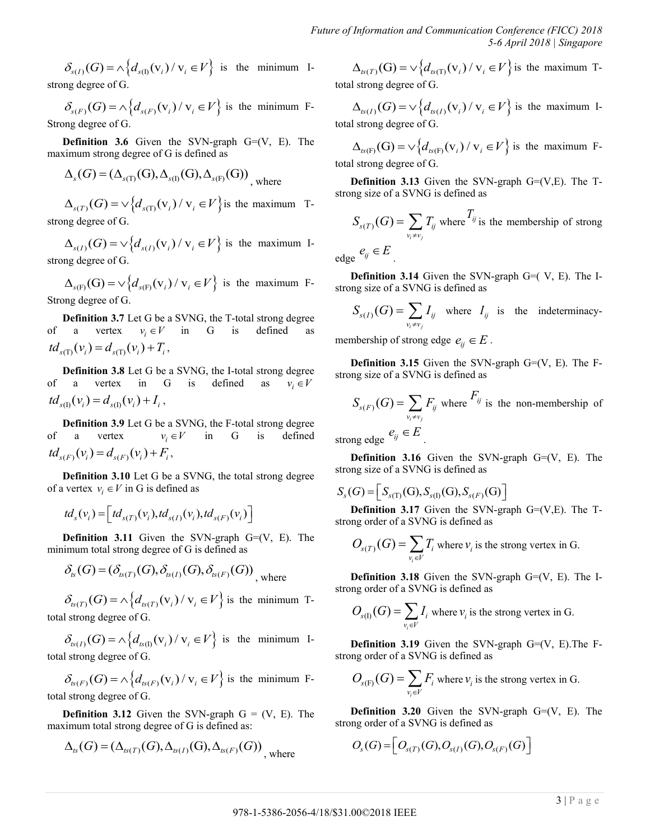$\delta_{s(I)}(G) = \lambda \left\{ d_{s(I)}(v_i) / v_i \in V \right\}$  is the minimum Istrong degree of G.

 $S_{s(F)}(G) = \wedge \left\{ d_{s(F)}(\mathbf{v}_i) / \mathbf{v}_i \in V \right\}$  is the minimum F-Strong degree of G.

**Definition 3.6** Given the SVN-graph  $G=(V, E)$ . The

maximum strong degree of G is defined as  
\n
$$
\Delta_s(G) = (\Delta_{s(T)}(G), \Delta_{s(I)}(G), \Delta_{s(F)}(G))
$$
\nwhere

 $\Delta_{s(T)}(G) = \sqrt{\frac{d_{s(T)}(v_i)}{v_i \in V}}$  is the maximum Tstrong degree of G.

 $\Delta_{s(I)}(G) = \sqrt{\frac{d_{s(I)}(v_i)}{v_i \in V}}$  is the maximum Istrong degree of G.

 $\Delta_{s(F)}(G) = \sqrt{\frac{d_{s(F)}(V_i)}{V_i}} \in V$  is the maximum F-Strong degree of G.

 $\partial_{\alpha(t)}(G) = \alpha \{d_{\alpha(t)}(V) \times \eta \in F\}$  is the minimum 1- $\Delta_{\alpha(t)}(G) = \alpha \{d_{\alpha(t)}(V) \times \eta \in F\}$  is the minimum 1- $\Delta_{\alpha(t)}(G) = \alpha \{d_{\alpha(t)}(G) = \alpha \{d_{\alpha(t)}(G) \times \eta \in F\}$  is the minimum 1- $\Delta_{\alpha(t)}(G) = \alpha \{d_{\alpha(t)}(G) = \alpha \{d_{\alpha(t)}(G) = \alpha \{d_{\alpha$ **Definition 3.7** Let G be a SVNG, the T-total strong degree of a vertex  $v_i \in V$  in G is defined as  $td_{s(f)}(v_i) = d_{s(f)}(v_i) + T_i,$ 

**Definition 3.8** Let G be a SVNG, the I-total strong degree of a vertex in G is defined as  $v_i \in V$  $td_{s(0)}(v_i) = d_{s(0)}(v_i) + I_i$ ,

**Definition 3.9** Let G be a SVNG, the F-total strong degree of a vertex  $v_i \in V$ in G is defined  $td_{s(F)}(v_i) = d_{s(F)}(v_i) + F_i,$ 

**Definition 3.10** Let G be a SVNG, the total strong degree of a vertex  $v_i \in V$  in G is defined as

$$
td_s(v_i) = \left[td_{s(T)}(v_i),td_{s(I)}(v_i),td_{s(F)}(v_i)\right]
$$

**Definition 3.11** Given the SVN-graph  $G=(V, E)$ . The

minimum total strong degree of G is defined as  

$$
\delta_{ts}(G) = (\delta_{ts(T)}(G), \delta_{ts(I)}(G), \delta_{ts(F)}(G))
$$
, where

 $\delta_{ts(T)}(G) = \Lambda \Big\{ d_{ts(T)}(v_i) / v_i \in V \Big\}$  is the minimum Ttotal strong degree of G.

 $\delta_{ts(I)}(G) = \Lambda \Big\{ d_{ts(I)}(v_i) / v_i \in V \Big\}$  is the minimum Itotal strong degree of G.

*ts F i* strong degree of 3:<br>  $\delta_{ts(F)}(G) = \Lambda \left\{ d_{ts(F)}(v_i) / v_i \in V \right\}$  is the minimum Ftotal strong degree of G.

**Definition 3.12** Given the SVN-graph  $G = (V, E)$ . The

maximum total strong degree of G is defined as:  
\n
$$
\Delta_{ts}(G) = (\Delta_{ts(T)}(G), \Delta_{ts(T)}(G), \Delta_{ts(F)}(G))
$$
\nwhere

 $\Delta_{\mathcal{B}(T)}(G) = \sqrt{\frac{d_{\mathcal{B}(T)}(V_i)}{V_i}} \in V$  is the maximum Ttotal strong degree of G.

 $\Delta_{\mu(I)}(G) = \sqrt{\frac{d_{\mu(I)}(v_i)}{v_i \in V}}$  is the maximum Itotal strong degree of G.

 $t_{\alpha(F)}(G) = \sqrt{d_{t_{\alpha(F)}}(v_i) / v_i} \in V$  is the maximum Ftotal strong degree of G.

**Definition 3.13** Given the SVN-graph  $G=(V,E)$ . The Tstrong size of a SVNG is defined as

$$
S_{s(T)}(G) = \sum_{v_i \neq v_j} T_{ij}
$$
 where  $T_{ij}$  is the membership of strong

edge  $e_{ij} \in E$ 

.

**Definition 3.14** Given the SVN-graph G=( V, E). The Istrong size of a SVNG is defined as

$$
S_{s(I)}(G) = \sum_{v_i \neq v_j} I_{ij} \text{ where } I_{ij} \text{ is the indeterminacy-}
$$

membership of strong edge  $e_{ij} \in E$ .

**Definition 3.15** Given the SVN-graph  $G=(V, E)$ . The Fstrong size of a SVNG is defined as

$$
S_{s(F)}(G) = \sum_{v_i \neq v_j} F_{ij} \text{ where } F_{ij} \text{ is the non-membrship of}
$$
  
ng edge  $e_{ij} \in E$ 

strong edge  $e_{ij} \in E$ 

**Definition 3.16** Given the SVN-graph G=(V, E). The strong size of a SVNG is defined as

$$
S_{s}(G) = \left[ S_{s(T)}(G), S_{s(1)}(G), S_{s(F)}(G) \right]
$$

**Definition 3.17** Given the SVN-graph  $G=(V,E)$ . The Tstrong order of a SVNG is defined as

$$
O_{s(T)}(G) = \sum_{v_i \in V} T_i
$$
 where  $v_i$  is the strong vertex in G.

**Definition 3.18** Given the SVN-graph  $G=(V, E)$ . The Istrong order of a SVNG is defined as

$$
O_{s(I)}(G) = \sum_{v_i \in V} I_i
$$
 where  $v_i$  is the strong vertex in G.

**Definition 3.19** Given the SVN-graph G=(V, E). The Fstrong order of a SVNG is defined as

$$
O_{s(F)}(G) = \sum_{v_i \in V} F_i
$$
 where  $v_i$  is the strong vertex in G.

**Definition 3.20** Given the SVN-graph G=(V, E). The strong order of a SVNG is defined as

$$
Os(G) = \left[ Os(T)(G), Os(I)(G), Os(F)(G) \right]
$$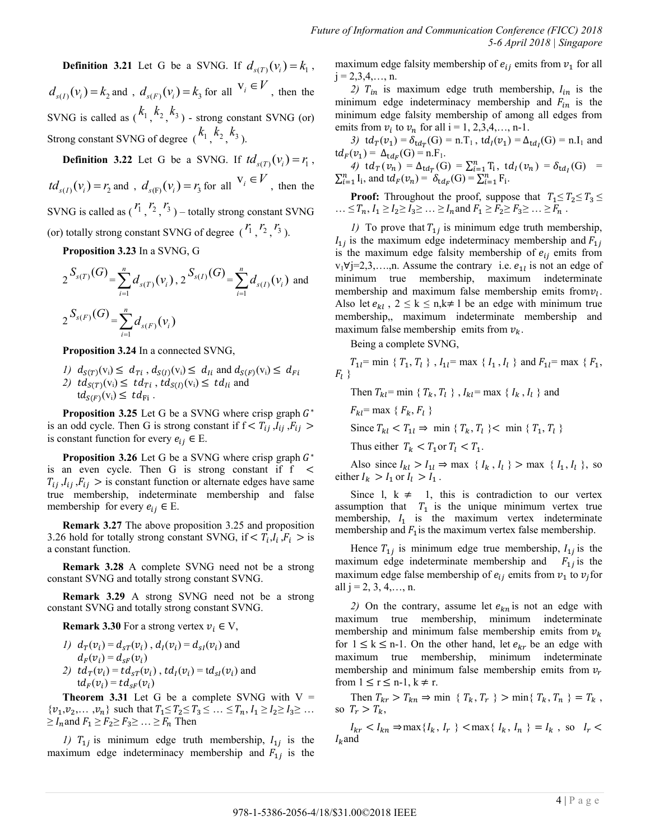**Definition 3.21** Let G be a SVNG. If  $d_{s(T)}(v_i) = k_1$ ,  $d_{s(I)}(v_i) = k_2$  and ,  $d_{s(F)}(v_i) = k_3$  for all  $v_i \in V$ , then the SVNG is called as  $\binom{k_1}{k_2}$ ,  $\binom{k_3}{k_3}$  - strong constant SVNG (or) Strong constant SVNG of degree  $(k_1, k_2, k_3)$ .

**Definition 3.22** Let G be a SVNG. If  $td_{s(T)}(v_i) = r_1$ ,  $td_{s(I)}(v_i) = r_2$  and ,  $d_{s(F)}(v_i) = r_3$  for all  $v_i \in V$ , then the SVNG is called as  $\binom{r_1}{r_2}$ ,  $\binom{r_3}{r_3}$  – totally strong constant SVNG (or) totally strong constant SVNG of degree  $\binom{r_1}{r_2}$ ,  $\binom{r_3}{r_3}$ .

**Proposition 3.23** In a SVNG, G

$$
2^{S_{s(T)}(G)} = \sum_{i=1}^{n} d_{s(T)}(v_i), 2^{S_{s(I)}(G)} = \sum_{i=1}^{n} d_{s(I)}(v_i)
$$
 and  

$$
2^{S_{s(F)}(G)} = \sum_{i=1}^{n} d_{s(F)}(v_i)
$$

**Proposition 3.24** In a connected SVNG,

- *1)*  $d_{S(T)}(v_i) \le d_{Ti}$ ,  $d_{S(I)}(v_i) \le d_{I_i}$  and  $d_{S(F)}(v_i)$
- 2)  $td_{S(T)}(v_i) \leq td_{Ti}$ ,  $td_{S(I)}(v_i) \leq td_{I_i}$  and  $td_{S(F)}(v_i) \leq td_{Fi}$ .

**Proposition 3.25** Let G be a SVNG where crisp graph  $G^*$ is an odd cycle. Then G is strong constant if  $f < T_{ii}$ ,  $I_{ii}$ ,  $F_{ii}$ is constant function for every  $e_{ij} \in E$ .

**Proposition 3.26** Let G be a SVNG where crisp graph  $G^*$ is an even cycle. Then G is strong constant if  $f <$  $T_{ij}$ ,  $I_{ij}$ ,  $F_{ij}$  > is constant function or alternate edges have same true membership, indeterminate membership and false membership for every  $e_{ij} \in E$ .

**Remark 3.27** The above proposition 3.25 and proposition 3.26 hold for totally strong constant SVNG, if  $\langle T_i, I_i, F_i \rangle$  is a constant function.

**Remark 3.28** A complete SVNG need not be a strong constant SVNG and totally strong constant SVNG.

**Remark 3.29** A strong SVNG need not be a strong constant SVNG and totally strong constant SVNG.

**Remark 3.30** For a strong vertex  $v_i \in V$ ,

*1)*  $d_T(v_i) = d_{ST}(v_i)$ ,  $d_I(v_i) = d_{SI}(v_i)$  and  $d_F(v_i) = d_{SF}(v_i)$ 2)  $td_{T}(v_{i}) = td_{sT}(v_{i})$ ,  $td_{I}(v_{i}) = td_{sI}(v_{i})$  and  $td_F(v_i) = td_{sF}(v_i)$ 

**Theorem 3.31** Let G be a complete SVNG with  $V =$  $\{v_1, v_2, \ldots, v_n\}$  such that  $T_1 \le T_2 \le T_3 \le \ldots \le T_n$ ,  $I_1 \ge I_2 \ge I_3 \ge \ldots$  $\geq I_n$  and  $F_1 \geq F_2 \geq F_3 \geq \ldots \geq F_n$  Then

1)  $T_{1i}$  is minimum edge truth membership,  $I_{1i}$  is the maximum edge indeterminacy membership and  $F_{1i}$  is the

maximum edge falsity membership of  $e_{ij}$  emits from  $v_1$  for all  $j = 2,3,4,..., n$ .

2)  $T_{in}$  is maximum edge truth membership,  $I_{in}$  is the minimum edge indeterminacy membership and  $F_{in}$  is the minimum edge falsity membership of among all edges from emits from  $v_i$  to  $v_n$  for all i = 1, 2,3,4,..., n-1.

3)  $td_T(v_1) = \delta_{td_T}(G) = n.T_1$ ,  $td_I(v_1) = \Delta_{td_I}(G) = n.I_1$  and  $td_F(v_1) = \Delta_{td_F}(G) = n.F_1.$ 

4) 
$$
td_T(v_n) = \Delta_{td_T}(G) = \sum_{i=1}^n T_i
$$
,  $td_I(v_n) = \delta_{td_I}(G) = \sum_{i=1}^n I_i$ , and  $td_F(v_n) = \delta_{td_F}(G) = \sum_{i=1}^n F_i$ .

**Proof:** Throughout the proof, suppose that  $T_1 \leq T_2 \leq T_3 \leq$ ...  $\leq T_n$ ,  $I_1 \geq I_2 \geq I_3 \geq \ldots \geq I_n$  and  $F_1 \geq F_2 \geq F_3 \geq \ldots \geq F_n$ .

*1*) To prove that  $T_{1i}$  is minimum edge truth membership,  $I_{1i}$  is the maximum edge indeterminacy membership and is the maximum edge falsity membership of  $e_{ij}$  emits from  $v_1 \forall j = 2, 3, \dots, n$ . Assume the contrary i.e.  $e_{1l}$  is not an edge of minimum true membership, maximum indeterminate membership and maximum false membership emits from  $v_l$ . Also let  $e_{kl}$ ,  $2 \le k \le n, k \ne l$  be an edge with minimum true membership,, maximum indeterminate membership and maximum false membership emits from  $v_k$ .

Being a complete SVNG,

$$
T_{1l}
$$
 = min {  $T_1, T_l$  },  $I_{1l}$  = max {  $I_1, I_l$  } and  $F_{1l}$  = max {  $F_1$ ,  $F_l$  }

Then  $T_{kl}$  = min {  $T_k$ ,  $T_l$  },  $I_{kl}$  = max {  $I_k$ ,  $I_l$  } and

$$
F_{kl} = \max \{ F_k, F_l \}
$$

Since  $T_{kl} < T_{1l} \Rightarrow$  min {  $T_k$ ,  $T_l$  }  $<$  min {  $T_1$ ,  $T_l$  }

Thus either  $T_k < T_1$  or  $T_l < T_1$ .

Also since  $I_{kl} > I_{1l} \Rightarrow \max \{ I_k, I_l \} > \max \{ I_1, I_l \}$ , so either  $I_k > I_1$  or  $I_l > I_1$ .

Since 1,  $k \neq 1$ , this is contradiction to our vertex assumption that  $T_1$  is the unique minimum vertex true membership,  $I_1$  is the maximum vertex indeterminate membership and  $F_1$  is the maximum vertex false membership.

Hence  $T_{1i}$  is minimum edge true membership,  $I_{1i}$  is the maximum edge indeterminate membership and  $F_{1i}$  is the maximum edge false membership of  $e_{ij}$  emits from  $v_1$  to  $v_j$  for all  $j = 2, 3, 4, \ldots, n$ .

2) On the contrary, assume let  $e_{kn}$  is not an edge with maximum true membership, minimum indeterminate membership and minimum false membership emits from  $v_k$ for  $1 \le k \le n-1$ . On the other hand, let  $e_{kr}$  be an edge with maximum true membership, minimum indeterminate membership and minimum false membership emits from  $v_r$ from  $1 \le r \le n-1$ ,  $k \ne r$ .

Then  $T_{kr} > T_{kn} \Rightarrow \min \{ T_k, T_r \} > \min \{ T_k, T_n \} = T_k$ , so  $T_r > T_k$ ,

 $I_{kr} < I_{kn} \Rightarrow \max\{I_k, I_r\} < \max\{I_k, I_n\} = I_k$ , so  $I_r <$  $I_{\nu}$  and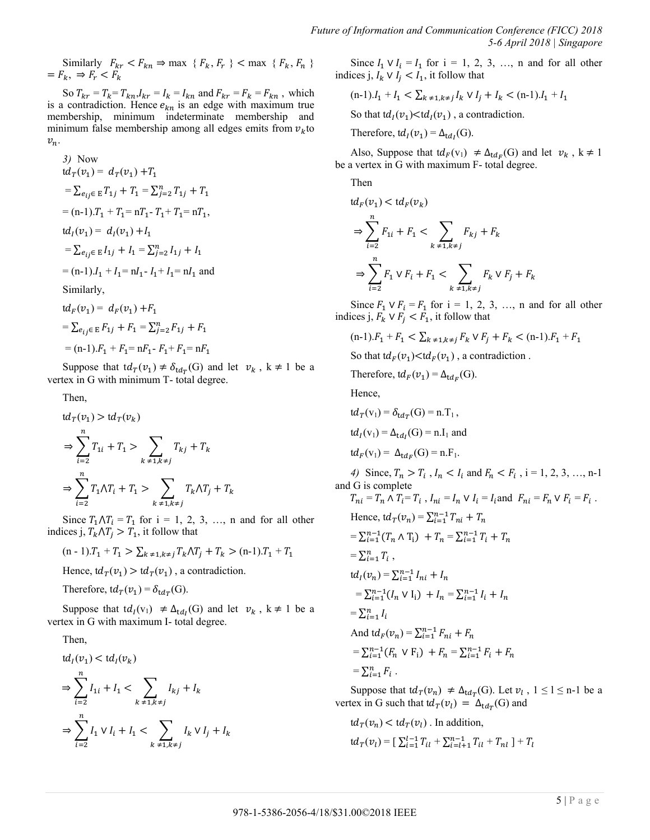Similarly  $F_{kr} < F_{kn} \Rightarrow \max \{ F_k, F_r \} < \max \{ F_k, F_n \}$  $=F_k, \Rightarrow F_r < F_k$ 

So  $T_{kr} = T_k = T_{kn}I_{kr} = I_k = I_{kn}$  and  $F_{kr} = F_k = F_{kn}$ , which is a contradiction. Hence  $e_{kn}$  is an edge with maximum true membership, minimum indeterminate membership and minimum false membership among all edges emits from  $v_k$  to  $v_n$ .

3) Now  
\n
$$
td_T(v_1) = d_T(v_1) + T_1
$$
\n
$$
= \sum_{e_{ij} \in E} T_{1j} + T_1 = \sum_{j=2}^n T_{1j} + T_1
$$
\n
$$
= (n-1) \cdot T_1 + T_1 = nT_1 - T_1 + T_1 = nT_1,
$$
\n
$$
td_I(v_1) = d_I(v_1) + I_1
$$
\n
$$
= \sum_{e_{ij} \in E} I_{1j} + I_1 = \sum_{j=2}^n I_{1j} + I_1
$$
\n
$$
= (n-1) \cdot I_1 + I_1 = nI_1 - I_1 + I_1 = nI_1 \text{ and}
$$
\nSimilarly,  
\n
$$
td_F(v_1) = d_F(v_1) + F_1
$$

 $=\sum_{e_i} E F_{1j} + F_1 = \sum_{j=2}^n F_j$  $=$  (n-1).  $F_1 + F_1 = nF_1 - F_1 + F_1 = nF_1$ 

Suppose that  $td_T(v_1) \neq \delta_{td_T}(G)$  and let  $v_k$ ,  $k \neq 1$  be a vertex in G with minimum T- total degree.

Then,

$$
td_{T}(v_{1}) > td_{T}(v_{k})
$$
  
\n
$$
\Rightarrow \sum_{i=2}^{n} T_{1i} + T_{1} > \sum_{k \neq 1, k \neq j} T_{kj} + T_{k}
$$
  
\n
$$
\Rightarrow \sum_{i=2}^{n} T_{1} \wedge T_{i} + T_{1} > \sum_{k \neq 1, k \neq j} T_{k} \wedge T_{j} + T_{k}
$$

Since  $T_1 \wedge T_i = T_1$  for  $i = 1, 2, 3, \ldots$ , n and for all other indices j,  $T_k \Lambda T_i > T_1$ , it follow that

$$
(n-1) \cdot T_1 + T_1 > \sum_{k \neq 1, k \neq j} T_k \wedge T_j + T_k > (n-1) \cdot T_1 + T_1
$$

Hence,  $td_T(v_1) > td_T(v_1)$ , a contradiction.

Therefore, 
$$
td_T(v_1) = \delta_{tdT}(G)
$$
.

Suppose that  $td_i(v_1) \neq \Delta_{td_i}(G)$  and let  $v_k$ ,  $k \neq 1$  be a vertex in G with maximum I- total degree.

Then,

$$
\begin{aligned} \mathsf{td}_I(v_1) &< \mathsf{td}_I(v_k) \\ \Rightarrow & \sum_{i=2}^n I_{1i} + I_1 < \sum_{k \neq 1, k \neq j} I_{kj} + I_k \\ \Rightarrow & \sum_{i=2}^n I_1 \vee I_i + I_1 < \sum_{k \neq 1, k \neq j} I_k \vee I_j + I_k \end{aligned}
$$

Since  $I_1 \vee I_i = I_1$  for  $i = 1, 2, 3, \ldots$ , n and for all other indices j,  $I_k \vee I_i \leq I_1$ , it follow that

$$
(n-1) \cdot I_1 + I_1 < \sum_{k \neq 1, k \neq j} I_k \vee I_j + I_k < (n-1) \cdot I_1 + I_1
$$

So that  $td_I(v_1) < td_I(v_1)$ , a contradiction.

Therefore,  $td_I(v_1) = \Delta_{td_I}(G)$ .

Also, Suppose that  $td_F(v_1) \neq \Delta_{td_F}(G)$  and let  $v_k$ ,  $k \neq 1$ be a vertex in G with maximum F- total degree.

Then

$$
td_F(v_1) < td_F(v_k)
$$
  
\n
$$
\Rightarrow \sum_{i=2}^n F_{1i} + F_1 < \sum_{k \neq 1, k \neq j} F_{kj} + F_k
$$
  
\n
$$
\Rightarrow \sum_{i=2}^n F_1 \vee F_i + F_1 < \sum_{k \neq 1, k \neq j} F_k \vee F_j + F_k
$$

Since  $F_1 \vee F_i = F_1$  for  $i = 1, 2, 3, \ldots$ , n and for all other indices j,  $F_k \vee F_i \leq F_1$ , it follow that

$$
(n-1).F_1 + F_1 < \sum_{k \neq 1, k \neq j} F_k \lor F_j + F_k < (n-1).F_1 + F_1
$$

So that  $td_F(v_1) < td_F(v_1)$ , a contradiction.

Therefore,  $td_F(v_1) = \Delta_{td_F}(G)$ .

Hence,

$$
td_T(v_1) = \delta_{td_T}(G) = n.T_1,
$$
  
\n
$$
td_I(v_1) = \Delta_{td_I}(G) = n.I_1 \text{ and}
$$
  
\n
$$
td_F(v_1) = \Delta_{td_F}(G) = n.F_1.
$$

*4)* Since,  $T_n > T_i$ ,  $I_n < I_i$  and  $F_n < F_i$ , i = 1, 2, 3, ..., n-1 and G is complete

$$
T_{ni} = T_n \wedge T_i = T_i, I_{ni} = I_n \vee I_i = I_i \text{ and } F_{ni} = F_n \vee F_i = F_i.
$$
  
\nHence,  $td_T(v_n) = \sum_{i=1}^{n-1} T_{ni} + T_n$   
\n
$$
= \sum_{i=1}^{n-1} (T_n \wedge T_i) + T_n = \sum_{i=1}^{n-1} T_i + T_n
$$
  
\n
$$
= \sum_{i=1}^{n} T_i,
$$
  
\n $td_I(v_n) = \sum_{i=1}^{n-1} I_{ni} + I_n$   
\n
$$
= \sum_{i=1}^{n-1} (I_n \vee I_i) + I_n = \sum_{i=1}^{n-1} I_i + I_n
$$
  
\n
$$
= \sum_{i=1}^{n-1} I_i
$$
  
\nAnd  $td_F(v_n) = \sum_{i=1}^{n-1} F_{ni} + F_n$   
\n
$$
= \sum_{i=1}^{n-1} (F_n \vee F_i) + F_n = \sum_{i=1}^{n-1} F_i + F_n
$$
  
\n
$$
= \sum_{i=1}^{n} F_i.
$$

Suppose that  $td_T(v_n) \neq \Delta_{td_T}(G)$ . Let  $v_l$ ,  $1 \leq l \leq n-1$  be a vertex in G such that  $td_T(v_l) = \Delta_{td_T}(G)$  and

$$
td_T(v_n) < td_T(v_l) \text{ . In addition,}
$$
\n
$$
td_T(v_l) = \left[\sum_{i=1}^{l-1} T_{il} + \sum_{i=l+1}^{n-1} T_{il} + T_{nl}\right] + T_l
$$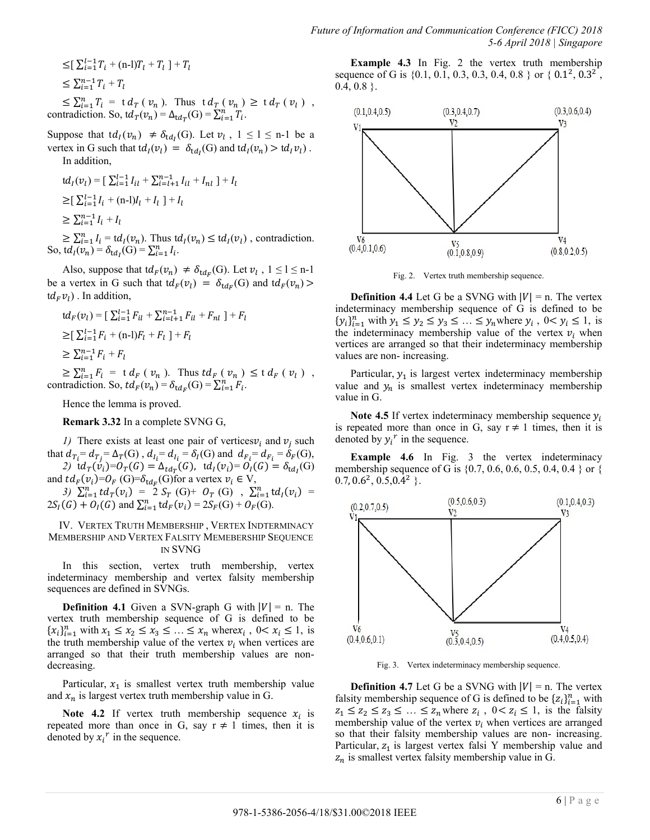$$
\leq [\sum_{i=1}^{l-1} T_i + (n-l)T_l + T_l] + T_l
$$
  

$$
\leq \sum_{i=1}^{n-1} T_i + T_l
$$

 $\leq \sum_{i=1}^{n} T_i = \frac{td_T(v_n)}{1 - t}$ . Thus  $td_T(v_n) \geq \frac{td_T(v_l)}{1 - t}$ , contradiction. So,  $td_T(v_n) = \Delta_{td_T}(G) = \sum_{i=1}^n T_i$ .

Suppose that  $td_l(v_n) \neq \delta_{td_l}(G)$ . Let  $v_l$ ,  $1 \leq l \leq n-1$  be a vertex in G such that  $td_I(v_l) = \delta_{td_I}(G)$  and  $td_I(v_n) > td_I v_l)$ . In addition,

$$
td_{I}(v_{l}) = [\sum_{i=1}^{l-1} I_{il} + \sum_{i=l+1}^{n-1} I_{il} + I_{nl}] + I_{l}
$$
  
\n
$$
\geq [\sum_{i=1}^{l-1} I_{i} + (n-l)I_{l} + I_{l}] + I_{l}
$$
  
\n
$$
\geq \sum_{i=1}^{n-1} I_{i} + I_{l}
$$

 $\geq \sum_{i=1}^n I_i = td_i(v_n)$ . Thus  $td_i(v_n) \leq td_i(v_i)$ , contradiction. So,  $td_I(v_n) = \delta_{td_I}(G) = \sum_{i=1}^n I_i$ .

Also, suppose that  $td_F(v_n) \neq \delta_{td_F}(G)$ . Let  $v_l$ ,  $1 \leq l \leq n-1$ be a vertex in G such that  $td_F(v_l) = \delta_{td_F}(G)$  and  $td_F(v_n)$  $(d_F v_l)$ . In addition,

$$
td_F(v_l) = \left[\sum_{i=1}^{l-1} F_{il} + \sum_{i=l+1}^{n-1} F_{il} + F_{nl}\right] + F_l
$$
  
\n
$$
\geq \left[\sum_{i=1}^{l-1} F_i + (n-l)F_l + F_l\right] + F_l
$$
  
\n
$$
\geq \sum_{i=1}^{n-1} F_i + F_l
$$

 $\geq \sum_{i=1}^{n} F_i = \text{t} d_F (v_n)$ . Thus  $td_F (v_n) \leq \text{t} d_F (v_l)$ , contradiction. So,  $td_F(v_n) = \delta_{td_F}(G) = \sum_{i=1}^n F_i$ .

Hence the lemma is proved.

**Remark 3.32** In a complete SVNG G,

*1*) There exists at least one pair of vertices  $v_i$  and  $v_j$  such that  $d_{T_i} = d_{T_i} = \Delta_T(G)$ ,  $d_{I_i} = d_{I_i} = \delta_I(G)$  and  $d_{F_i} = d_{F_i} = \delta_F(G)$ , 2)  $\mathrm{td}_T(v_i) = O_T(G) = \Delta_{td_T}(G)$ ,  $\mathrm{td}_I(v_i) = O_I(G) = \delta_{td_I}(G)$ 

and  $td_F(v_i)=0$ <sub>F</sub> (G)= $\delta_{td_F}(G)$ for a vertex  $v_i \in V$ ,

3)  $\sum_{i=1}^{n} td_T(v_i) = 2 S_T(G) + O_T(G)$ ,  $\sum_{i=1}^{n} td_I(v_i) =$  $2S_I(G) + O_I(G)$  and  $\sum_{i=1}^n \text{td}_F(v_i) = 2S_F(G) + O_F(G)$ .

IV. VERTEX TRUTH MEMBERSHIP , VERTEX INDTERMINACY MEMBERSHIP AND VERTEX FALSITY MEMEBERSHIP SEQUENCE IN SVNG

In this section, vertex truth membership, vertex indeterminacy membership and vertex falsity membership sequences are defined in SVNGs.

**Definition 4.1** Given a SVN-graph G with  $|V| = n$ . The vertex truth membership sequence of G is defined to be  ${x_i}_{i=1}^n$  with  $x_1 \le x_2 \le x_3 \le ... \le x_n$  where  $x_i$ ,  $0 < x_i \le 1$ , is the truth membership value of the vertex  $v_i$  when vertices are arranged so that their truth membership values are nondecreasing.

Particular,  $x_1$  is smallest vertex truth membership value and  $x_n$  is largest vertex truth membership value in G.

**Note 4.2** If vertex truth membership sequence  $x_i$  is repeated more than once in G, say  $r \neq 1$  times, then it is denoted by  $x_i^r$  in the sequence.

**Example 4.3** In Fig. 2 the vertex truth membership sequence of G is  $\{0.1, 0.1, 0.3, 0.3, 0.4, 0.8\}$  or  $\{0.1^2, 0.3^2\}$ ,  $0.4, 0.8$  }.



Fig. 2. Vertex truth membership sequence.

**Definition 4.4** Let G be a SVNG with  $|V| = n$ . The vertex indeterminacy membership sequence of G is defined to be  $\{y_i\}_{i=1}^n$  with  $y_1 \le y_2 \le y_3 \le ... \le y_n$  where  $y_i$ ,  $0 < y_i \le 1$ , is the indeterminacy membership value of the vertex  $v_i$  when vertices are arranged so that their indeterminacy membership values are non- increasing.

Particular,  $y_1$  is largest vertex indeterminacy membership value and  $y_n$  is smallest vertex indeterminacy membership value in G.

**Note 4.5** If vertex indeterminacy membership sequence  $y_i$ is repeated more than once in G, say  $r \neq 1$  times, then it is denoted by  $y_i^r$  in the sequence.

**Example 4.6** In Fig. 3 the vertex indeterminacy membership sequence of G is  $\{0.7, 0.6, 0.6, 0.5, 0.4, 0.4\}$  or  $\{$  $0.7, 0.6^2, 0.5, 0.4^2$  }.



Fig. 3. Vertex indeterminacy membership sequence.

**Definition 4.7** Let G be a SVNG with  $|V| = n$ . The vertex falsity membership sequence of G is defined to be  $\{z_i\}_{i=1}^n$  with  $z_1 \leq z_2 \leq z_3 \leq \ldots \leq z_n$  where  $z_i$ ,  $0 < z_i \leq 1$ , is the falsity membership value of the vertex  $v_i$  when vertices are arranged so that their falsity membership values are non- increasing. Particular,  $z_1$  is largest vertex falsi Y membership value and  $z_n$  is smallest vertex falsity membership value in G.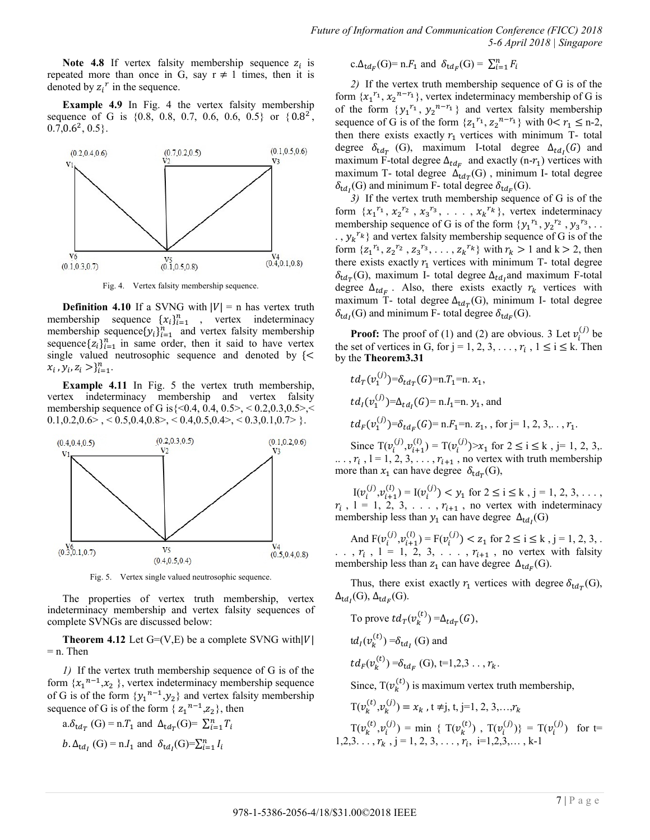*Future of Information and Communication Conference (FICC) 2018 5-6 April 2018 | Singapore*

Note 4.8 If vertex falsity membership sequence  $z_i$  is repeated more than once in G, say  $r \neq 1$  times, then it is denoted by  $z_i^r$  in the sequence.

**Example 4.9** In Fig. 4 the vertex falsity membership sequence of G is  $\{0.8, 0.8, 0.7, 0.6, 0.6, 0.5\}$  or  $\{0.8^2,$  $0.\overline{7}, 0.6^2, 0.5$ .



Fig. 4. Vertex falsity membership sequence.

**Definition 4.10** If a SVNG with  $|V| = n$  has vertex truth membership sequence  $\{x_i\}_{i=1}^n$ , vertex indeterminacy membership sequence  $\{y_i\}_{i=1}^n$  and vertex falsity membership sequence  $\{z_i\}_{i=1}^n$  in same order, then it said to have vertex single valued neutrosophic sequence and denoted by  $\{<$  $x_i$ ,  $y_i$ ,  $z_i > a_{i=1}^n$ .

**Example 4.11** In Fig. 5 the vertex truth membership, vertex indeterminacy membership and vertex falsity membership sequence of G is  $\{<0.4, 0.4, 0.5\}$ ,  $< 0.2, 0.3, 0.5$ ,  $<$  $0.1, 0.2, 0.6$  > , < 0.5, 0.4, 0.8 >, < 0.4, 0.5, 0.4 >, < 0.3, 0.1, 0.7 > }.



Fig. 5. Vertex single valued neutrosophic sequence.

The properties of vertex truth membership, vertex indeterminacy membership and vertex falsity sequences of complete SVNGs are discussed below:

**Theorem 4.12** Let  $G=(V,E)$  be a complete SVNG with  $|V|$  $=$  n. Then

*1)* If the vertex truth membership sequence of G is of the form  $\{x_1^{n-1}, x_2\}$ , vertex indeterminacy membership sequence of G is of the form  $\{y_1^{n-1}, y_2\}$  and vertex falsity membership sequence of G is of the form  $\{z_1^{n-1}, z_2\}$ , then

a. 
$$
\delta_{\text{td}_T}
$$
 (G) = n. $T_1$  and  $\Delta_{\text{td}_T}$  (G)=  $\sum_{i=1}^n T_i$   
b.  $\Delta_{\text{td}_I}$  (G) = n. $I_1$  and  $\delta_{\text{td}_I}$  (G)= $\sum_{i=1}^n I_i$ 

c. 
$$
\Delta_{\text{td}_F}(G) = n.F_1
$$
 and  $\delta_{\text{td}_F}(G) = \sum_{i=1}^n F_i$ 

*2)* If the vertex truth membership sequence of G is of the form  $\{x_1^{r_1}, x_2^{n-r_1}\}$ , vertex indeterminacy membership of G is of the form  $\{y_1^{r_1}, y_2^{n-r_1}\}\$  and vertex falsity membership sequence of G is of the form  $\{z_1^{r_1}, z_2^{n-r_1}\}\$  with  $0 < r_1 \leq n-2$ , then there exists exactly  $r_1$  vertices with minimum T- total degree  $\delta_{tdr}$  (G), maximum I-total degree  $\Delta_{td}$  (G) and maximum F-total degree  $\Delta_{td_F}$  and exactly (n- $r_1$ ) vertices with maximum T- total degree  $\Delta_{tdr}(G)$ , minimum I- total degree  $\delta_{td}$ <sub>(G)</sub> and minimum F- total degree  $\delta_{td}$ <sub>(G)</sub>.

*3)* If the vertex truth membership sequence of G is of the form  $\{x_1^{r_1}, x_2^{r_2}, x_3^{r_3}, \ldots, x_k^{r_k}\}$ , vertex indeterminacy membership sequence of G is of the form  ${y_1}^{r_1}, y_2^{r_2}, y_3^{r_3}, \ldots$ ..,  $y_k^{r_k}$  and vertex falsity membership sequence of G is of the form  $\{z_1^{r_1}, z_2^{r_2}, z_3^{r_3}, \ldots, z_k^{r_k}\}$  with  $r_k > 1$  and  $k > 2$ , then there exists exactly  $r_1$  vertices with minimum T- total degree  $\delta_{\rm td_{\rm T}}(G)$ , maximum I- total degree  $\Delta_{\rm td_{\rm I}}$  and maximum F-total degree  $\Delta_{tdr}$ . Also, there exists exactly  $r_k$  vertices with maximum T- total degree  $\Delta_{tdr}(G)$ , minimum I- total degree  $\delta_{td}$ <sub>(G)</sub> and minimum F- total degree  $\delta_{td}$ <sub>(G)</sub>.

**Proof:** The proof of (1) and (2) are obvious. 3 Let  $v_i^{(j)}$  be the set of vertices in G, for  $j = 1, 2, 3, \ldots, r_i$ ,  $1 \le i \le k$ . Then by the **Theorem3.31**

$$
td_{T}(v_{1}^{(j)}) = \delta_{td_{T}}(G) = n.T_{1} = n.x_{1},
$$
  
\n
$$
td_{I}(v_{1}^{(j)}) = \Delta_{td_{I}}(G) = n.I_{1} = n.y_{1},
$$
 and  
\n
$$
td_{F}(v_{1}^{(j)}) = \delta_{td_{F}}(G) = n.F_{1} = n.z_{1},
$$
 for j = 1, 2, 3, ..., r<sub>1</sub>.

Since  $T(v_i^{(j)}, v_{i+1}^{(l)}) = T(v_i^{(j)}) > x_1$  for  $2 \le i \le k$ , j= 1, 2, 3,.  $\ldots$ ,  $r_i$ ,  $1 = 1, 2, 3, \ldots, r_{i+1}$ , no vertex with truth membership more than  $x_1$  can have degree  $\delta_{tdx}(G)$ ,

 $I(v_i^{(j)}, v_{i+1}^{(l)}) = I(v_i^{(j)}) < y_1$  for  $2 \le i \le k$ ,  $j = 1, 2, 3, \ldots$ ,  $r_i$ ,  $1 = 1, 2, 3, \ldots, r_{i+1}$ , no vertex with indeterminacy membership less than  $y_1$  can have degree  $\Delta_{td}$ <sub>(G)</sub>

And  $F(v_i^{(j)}, v_{i+1}^{(l)}) = F(v_i^{(j)}) < z_1$  for  $2 \le i \le k$ ,  $j = 1, 2, 3, ...$  $r_i$ ,  $r_i$ ,  $l = 1, 2, 3, \ldots, r_{i+1}$ , no vertex with falsity membership less than  $z_1$  can have degree  $\Delta_{td_F}(G)$ .

Thus, there exist exactly  $r_1$  vertices with degree  $\delta_{tdr}(G)$ ,  $\Delta_{td}$ (G),  $\Delta_{td}$ <sub>(G)</sub>.

To prove 
$$
td_T(v_k^{(t)}) = \Delta_{td_T}(G)
$$
,  
\n $td_I(v_k^{(t)}) = \delta_{td_I}(G)$  and  
\n $td_F(v_k^{(t)}) = \delta_{td_F}(G)$ , t=1,2,3...,  $r_k$ .

Since,  $T(v_k^{(t)})$  is maximum vertex truth membership,

$$
T(v_k^{(t)}, v_k^{(j)}) = x_k, t \neq j, t, j=1, 2, 3, \dots, r_k
$$
  
\n
$$
T(v_k^{(t)}, v_i^{(j)}) = \min \{ T(v_k^{(t)}) , T(v_i^{(j)}) \} = T(v_i^{(j)}) \text{ for } t=1, 2, 3, \dots, r_k, j = 1, 2, 3, \dots, r_i, i = 1, 2, 3, \dots, k-1
$$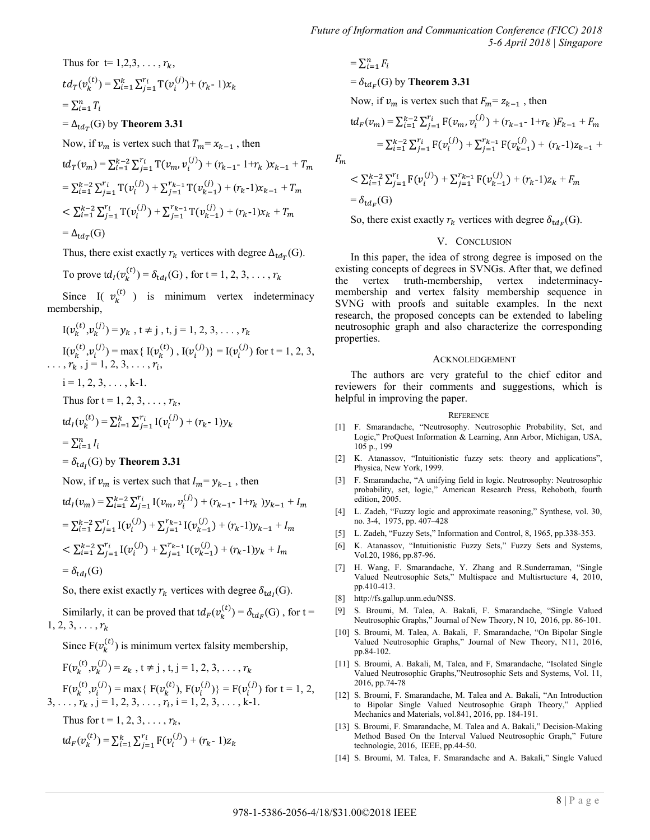Thus for t= 1,2,3, ..., 
$$
r_k
$$
,  
\n $td_T(v_k^{(t)}) = \sum_{i=1}^k \sum_{j=1}^{r_i} T(v_i^{(j)}) + (r_k - 1)x_k$   
\n $= \sum_{i=1}^n T_i$ 

 $= \Delta_{tdr}(G)$  by **Theorem 3.31** 

Now, if  $v_m$  is vertex such that  $T_m = x_{k-1}$ , then

$$
td_{T}(v_{m}) = \sum_{i=1}^{k-2} \sum_{j=1}^{r_{i}} T(v_{m}, v_{i}^{(j)}) + (r_{k-1} - 1 + r_{k})x_{k-1} + T_{n}
$$
  
=  $\sum_{i=1}^{k-2} \sum_{j=1}^{r_{i}} T(v_{i}^{(j)}) + \sum_{j=1}^{r_{k-1}} T(v_{k-1}^{(j)}) + (r_{k-1})x_{k-1} + T_{m}$   
<  $\sum_{i=1}^{k-2} \sum_{j=1}^{r_{i}} T(v_{i}^{(j)}) + \sum_{j=1}^{r_{k-1}} T(v_{k-1}^{(j)}) + (r_{k-1})x_{k} + T_{m}$   
=  $\Delta_{td_{T}}(G)$ 

Thus, there exist exactly  $r_k$  vertices with degree  $\Delta_{tdr}(G)$ .

To prove 
$$
td_I(v_k^{(t)}) = \delta_{td_I}(G)
$$
, for  $t = 1, 2, 3, ..., r_k$ 

Since I(  $v_k^{(t)}$  ) is minimum vertex indeterminacy membership,

$$
I(v_k^{(t)}, v_k^{(j)}) = y_k, t \neq j, t, j = 1, 2, 3, ..., r_k
$$
  
\n
$$
I(v_k^{(t)}, v_i^{(j)}) = \max\{I(v_k^{(t)}), I(v_i^{(j)})\} = I(v_i^{(j)}) \text{ for } t = 1, 2, 3, ..., r_k, j = 1, 2, 3, ..., r_i,
$$
  
\n $i = 1, 2, 3, ..., k-1.$   
\nThus for  $t = 1, 2, 3, ..., r_k$ ,

$$
td_{i}(v_{k}^{(t)}) = \sum_{i=1}^{k} \sum_{j=1}^{r_{i}} I(v_{i}^{(j)}) + (r_{k} - 1)y_{k}
$$
  
-  $\sum_{i=1}^{n} I_{i}$ 

$$
=\sum_{i=1}^n I_i
$$

 $= \delta_{td}$ <sub>(G)</sub> by **Theorem 3.31** 

Now, if  $v_m$  is vertex such that  $I_m = y_{k-1}$ , then

$$
td_{I}(v_{m}) = \sum_{i=1}^{k-2} \sum_{j=1}^{r_{i}} I(v_{m}, v_{i}^{(j)}) + (r_{k-1} - 1 + r_{k})y_{k-1} + I_{m}
$$
  
=  $\sum_{i=1}^{k-2} \sum_{j=1}^{r_{i}} I(v_{i}^{(j)}) + \sum_{j=1}^{r_{k-1}} I(v_{k-1}^{(j)}) + (r_{k-1})y_{k-1} + I_{m}$   
<  $\sum_{i=1}^{k-2} \sum_{j=1}^{r_{i}} I(v_{i}^{(j)}) + \sum_{j=1}^{r_{k-1}} I(v_{k-1}^{(j)}) + (r_{k-1})y_{k} + I_{m}$   
=  $\delta_{td_{I}}(G)$ 

So, there exist exactly  $r_k$  vertices with degree  $\delta_{td}$  (G).

Similarly, it can be proved that  $td_F(v_k^{(t)}) = \delta_{td_F}(G)$ , for t =  $1, 2, 3, \ldots, r_k$ 

Since  $F(v_k^{(t)})$  is minimum vertex falsity membership,

$$
F(v_k^{(t)}, v_k^{(j)}) = z_k, t \neq j, t, j = 1, 2, 3, ..., r_k
$$
  
\n
$$
F(v_k^{(t)}, v_i^{(j)}) = \max\{F(v_k^{(t)}), F(v_i^{(j)})\} = F(v_i^{(j)}) \text{ for } t = 1, 2, 3, ..., r_k, j = 1, 2, 3, ..., r_i, i = 1, 2, 3, ..., k-1.
$$

Thus for  $t = 1, 2, 3, \ldots, r_k$ ,  $td_F(v_k^{(t)}) = \sum_{i=1}^k \sum_{i=1}^{r_i} F(v_i^{(j)})$  $_{i=1}^{k} \sum_{j=1}^{r_i} F(v_i^{(j)}) + (r_k - 1)z$   $=\sum_{i=1}^n F_i$  $= \delta_{tdr}(G)$  by **Theorem 3.31** Now, if  $v_m$  is vertex such that  $F_m = z_{k-1}$ , then  $td_F(v_m) = \sum_{i=1}^{k-2} \sum_{i=1}^{r_i} F(v_m, v_i^{(j)})$  $\sum_{i=1}^{k-2} \sum_{j=1}^{r_i} F(v_m, v_i^{(j)}) + (r_{k-1} - 1 + r_k)F_{k-1} +$  $=\sum_{i=1}^{k-2}\sum_{i=1}^{r_i} F(v_i^{(j)})$  $_{i=1}^{k-2} \sum_{j=1}^{r_i} F(v_i^{(j)}) + \sum_{j=1}^{r_{k-1}} F(v_{k-1}^{(j)})$  $r_{k-1}^{r_{k-1}} F(v_{k-1}^{(j)}) + (r_{k-1})z_{k-1} +$ 

 $F_m$ 

$$
\langle \sum_{i=1}^{k-2} \sum_{j=1}^{r_i} F(\nu_i^{(j)}) + \sum_{j=1}^{r_{k-1}} F(\nu_{k-1}^{(j)}) + (r_{k-1})z_k + F_m
$$
  
=  $\delta_{\mathrm{td}_F}(G)$ 

So, there exist exactly  $r_k$  vertices with degree  $\delta_{td_F}(G)$ .

# V. CONCLUSION

In this paper, the idea of strong degree is imposed on the existing concepts of degrees in SVNGs. After that, we defined the vertex truth-membership, vertex indeterminacymembership and vertex falsity membership sequence in SVNG with proofs and suitable examples. In the next research, the proposed concepts can be extended to labeling neutrosophic graph and also characterize the corresponding properties.

#### ACKNOLEDGEMENT

The authors are very grateful to the chief editor and reviewers for their comments and suggestions, which is helpful in improving the paper.

#### **REFERENCE**

- [1] F. Smarandache, "Neutrosophy. Neutrosophic Probability, Set, and Logic," ProQuest Information & Learning, Ann Arbor, Michigan, USA, 105 p., 199
- [2] K. Atanassov, "Intuitionistic fuzzy sets: theory and applications", Physica, New York, 1999.
- [3] F. Smarandache, "A unifying field in logic. Neutrosophy: Neutrosophic probability, set, logic," American Research Press, Rehoboth, fourth edition, 2005.
- [4] L. Zadeh, "Fuzzy logic and approximate reasoning," Synthese, vol. 30, no. 3-4, 1975, pp. 407–428
- [5] L. Zadeh, "Fuzzy Sets," Information and Control, 8, 1965, pp.338-353.
- [6] K. Atanassov, "Intuitionistic Fuzzy Sets," Fuzzy Sets and Systems, Vol.20, 1986, pp.87-96.
- [7] H. Wang, F. Smarandache, Y. Zhang and R.Sunderraman, "Single Valued Neutrosophic Sets," Multispace and Multisrtucture 4, 2010, pp.410-413.
- [8] http://fs.gallup.unm.edu/NSS.
- [9] S. Broumi, M. Talea, A. Bakali, F. Smarandache, "Single Valued Neutrosophic Graphs," Journal of New Theory, N 10, 2016, pp. 86-101.
- [10] S. Broumi, M. Talea, A. Bakali, F. Smarandache, "On Bipolar Single Valued Neutrosophic Graphs," Journal of New Theory, N11, 2016, pp.84-102.
- [11] S. Broumi, A. Bakali, M, Talea, and F, Smarandache, "Isolated Single Valued Neutrosophic Graphs,"Neutrosophic Sets and Systems, Vol. 11, 2016, pp.74-78
- [12] S. Broumi, F. Smarandache, M. Talea and A. Bakali, "An Introduction to Bipolar Single Valued Neutrosophic Graph Theory," Applied Mechanics and Materials, vol.841, 2016, pp. 184-191.
- [13] S. Broumi, F. Smarandache, M. Talea and A. Bakali," Decision-Making Method Based On the Interval Valued Neutrosophic Graph," Future technologie, 2016, IEEE, pp.44-50.
- [14] S. Broumi, M. Talea, F. Smarandache and A. Bakali," Single Valued